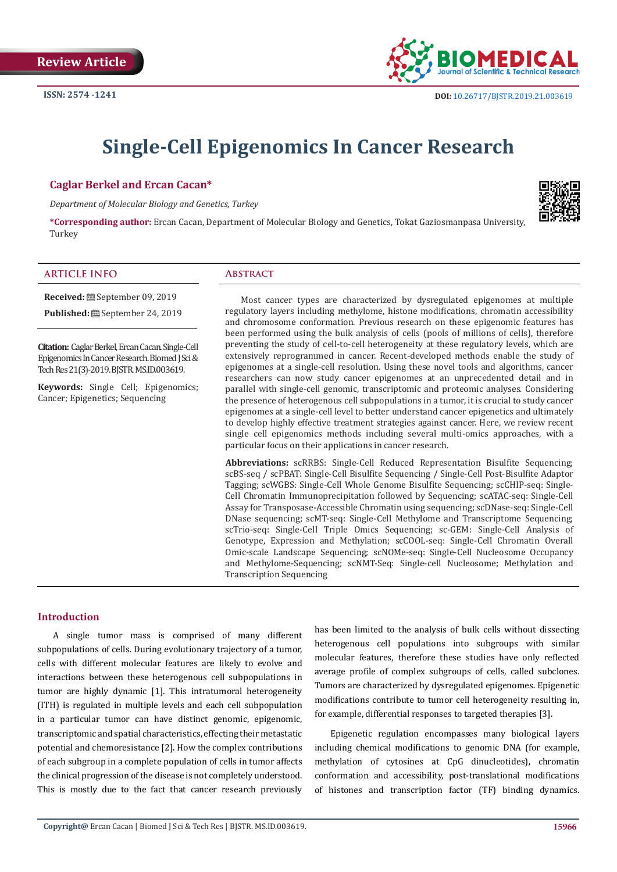

# **Single-Cell Epigenomics In Cancer Research**

### **Caglar Berkel and Ercan Cacan\***

*Department of Molecular Biology and Genetics, Turkey*



**\*Corresponding author:** Ercan Cacan, Department of Molecular Biology and Genetics, Tokat Gaziosmanpasa University, Turkey

#### **ARTICLE INFO Abstract**

**Citation:** Caglar Berkel, Ercan Cacan. Single-Cell Epigenomics In Cancer Research. Biomed J Sci &

**Received:** September 09, 2019 Published: **■** September 24, 2019

**Keywords:** Single Cell; Epigenomics; Cancer; Epigenetics; Sequencing

Tech Res 21(3)-2019. BJSTR. MS.ID.003619.

Most cancer types are characterized by dysregulated epigenomes at multiple regulatory layers including methylome, histone modifications, chromatin accessibility and chromosome conformation. Previous research on these epigenomic features has been performed using the bulk analysis of cells (pools of millions of cells), therefore preventing the study of cell-to-cell heterogeneity at these regulatory levels, which are extensively reprogrammed in cancer. Recent-developed methods enable the study of epigenomes at a single-cell resolution. Using these novel tools and algorithms, cancer researchers can now study cancer epigenomes at an unprecedented detail and in parallel with single-cell genomic, transcriptomic and proteomic analyses. Considering the presence of heterogenous cell subpopulations in a tumor, it is crucial to study cancer epigenomes at a single-cell level to better understand cancer epigenetics and ultimately to develop highly effective treatment strategies against cancer. Here, we review recent single cell epigenomics methods including several multi-omics approaches, with a particular focus on their applications in cancer research.

**Abbreviations:** scRRBS: Single-Cell Reduced Representation Bisulfite Sequencing; scBS-seq / scPBAT: Single-Cell Bisulfite Sequencing / Single-Cell Post-Bisulfite Adaptor Tagging; scWGBS: Single-Cell Whole Genome Bisulfite Sequencing; scCHIP-seq: Single-Cell Chromatin Immunoprecipitation followed by Sequencing; scATAC-seq: Single-Cell Assay for Transposase-Accessible Chromatin using sequencing; scDNase-seq: Single-Cell DNase sequencing; scMT-seq: Single-Cell Methylome and Transcriptome Sequencing; scTrio-seq: Single-Cell Triple Omics Sequencing; sc-GEM: Single-Cell Analysis of Genotype, Expression and Methylation; scCOOL-seq: Single-Cell Chromatin Overall Omic-scale Landscape Sequencing; scNOMe-seq: Single-Cell Nucleosome Occupancy and Methylome-Sequencing; scNMT-Seq: Single-cell Nucleosome; Methylation and Transcription Sequencing

### **Introduction**

A single tumor mass is comprised of many different subpopulations of cells. During evolutionary trajectory of a tumor, cells with different molecular features are likely to evolve and interactions between these heterogenous cell subpopulations in tumor are highly dynamic [1]. This intratumoral heterogeneity (ITH) is regulated in multiple levels and each cell subpopulation in a particular tumor can have distinct genomic, epigenomic, transcriptomic and spatial characteristics, effecting their metastatic potential and chemoresistance [2]. How the complex contributions of each subgroup in a complete population of cells in tumor affects the clinical progression of the disease is not completely understood. This is mostly due to the fact that cancer research previously has been limited to the analysis of bulk cells without dissecting heterogenous cell populations into subgroups with similar molecular features, therefore these studies have only reflected average profile of complex subgroups of cells, called subclones. Tumors are characterized by dysregulated epigenomes. Epigenetic modifications contribute to tumor cell heterogeneity resulting in, for example, differential responses to targeted therapies [3].

Epigenetic regulation encompasses many biological layers including chemical modifications to genomic DNA (for example, methylation of cytosines at CpG dinucleotides), chromatin conformation and accessibility, post-translational modifications of histones and transcription factor (TF) binding dynamics.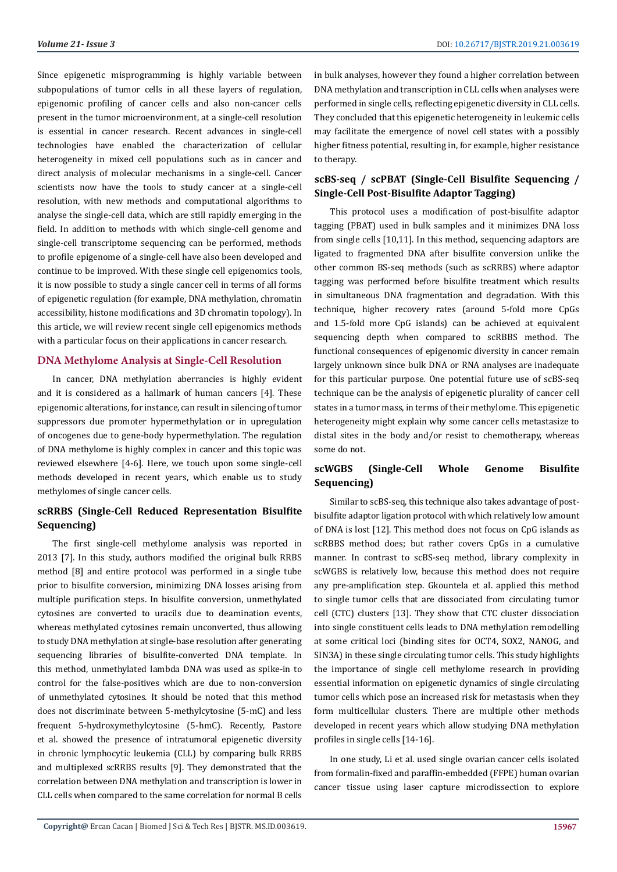Since epigenetic misprogramming is highly variable between subpopulations of tumor cells in all these layers of regulation, epigenomic profiling of cancer cells and also non-cancer cells present in the tumor microenvironment, at a single-cell resolution is essential in cancer research. Recent advances in single-cell technologies have enabled the characterization of cellular heterogeneity in mixed cell populations such as in cancer and direct analysis of molecular mechanisms in a single-cell. Cancer scientists now have the tools to study cancer at a single-cell resolution, with new methods and computational algorithms to analyse the single-cell data, which are still rapidly emerging in the field. In addition to methods with which single-cell genome and single-cell transcriptome sequencing can be performed, methods to profile epigenome of a single-cell have also been developed and continue to be improved. With these single cell epigenomics tools, it is now possible to study a single cancer cell in terms of all forms of epigenetic regulation (for example, DNA methylation, chromatin accessibility, histone modifications and 3D chromatin topology). In this article, we will review recent single cell epigenomics methods with a particular focus on their applications in cancer research.

### **DNA Methylome Analysis at Single-Cell Resolution**

In cancer, DNA methylation aberrancies is highly evident and it is considered as a hallmark of human cancers [4]. These epigenomic alterations, for instance, can result in silencing of tumor suppressors due promoter hypermethylation or in upregulation of oncogenes due to gene-body hypermethylation. The regulation of DNA methylome is highly complex in cancer and this topic was reviewed elsewhere [4-6]. Here, we touch upon some single-cell methods developed in recent years, which enable us to study methylomes of single cancer cells.

# **scRRBS (Single-Cell Reduced Representation Bisulfite Sequencing)**

The first single-cell methylome analysis was reported in 2013 [7]. In this study, authors modified the original bulk RRBS method [8] and entire protocol was performed in a single tube prior to bisulfite conversion, minimizing DNA losses arising from multiple purification steps. In bisulfite conversion, unmethylated cytosines are converted to uracils due to deamination events, whereas methylated cytosines remain unconverted, thus allowing to study DNA methylation at single-base resolution after generating sequencing libraries of bisulfite-converted DNA template. In this method, unmethylated lambda DNA was used as spike-in to control for the false-positives which are due to non-conversion of unmethylated cytosines. It should be noted that this method does not discriminate between 5-methylcytosine (5-mC) and less frequent 5-hydroxymethylcytosine (5-hmC). Recently, Pastore et al. showed the presence of intratumoral epigenetic diversity in chronic lymphocytic leukemia (CLL) by comparing bulk RRBS and multiplexed scRRBS results [9]. They demonstrated that the correlation between DNA methylation and transcription is lower in CLL cells when compared to the same correlation for normal B cells in bulk analyses, however they found a higher correlation between DNA methylation and transcription in CLL cells when analyses were performed in single cells, reflecting epigenetic diversity in CLL cells. They concluded that this epigenetic heterogeneity in leukemic cells may facilitate the emergence of novel cell states with a possibly higher fitness potential, resulting in, for example, higher resistance to therapy.

# **scBS-seq / scPBAT (Single-Cell Bisulfite Sequencing / Single-Cell Post-Bisulfite Adaptor Tagging)**

This protocol uses a modification of post-bisulfite adaptor tagging (PBAT) used in bulk samples and it minimizes DNA loss from single cells [10,11]. In this method, sequencing adaptors are ligated to fragmented DNA after bisulfite conversion unlike the other common BS-seq methods (such as scRRBS) where adaptor tagging was performed before bisulfite treatment which results in simultaneous DNA fragmentation and degradation. With this technique, higher recovery rates (around 5-fold more CpGs and 1.5-fold more CpG islands) can be achieved at equivalent sequencing depth when compared to scRBBS method. The functional consequences of epigenomic diversity in cancer remain largely unknown since bulk DNA or RNA analyses are inadequate for this particular purpose. One potential future use of scBS-seq technique can be the analysis of epigenetic plurality of cancer cell states in a tumor mass, in terms of their methylome. This epigenetic heterogeneity might explain why some cancer cells metastasize to distal sites in the body and/or resist to chemotherapy, whereas some do not.

# **scWGBS (Single-Cell Whole Genome Bisulfite Sequencing)**

Similar to scBS-seq, this technique also takes advantage of postbisulfite adaptor ligation protocol with which relatively low amount of DNA is lost [12]. This method does not focus on CpG islands as scRBBS method does; but rather covers CpGs in a cumulative manner. In contrast to scBS-seq method, library complexity in scWGBS is relatively low, because this method does not require any pre-amplification step. Gkountela et al. applied this method to single tumor cells that are dissociated from circulating tumor cell (CTC) clusters [13]. They show that CTC cluster dissociation into single constituent cells leads to DNA methylation remodelling at some critical loci (binding sites for OCT4, SOX2, NANOG, and SIN3A) in these single circulating tumor cells. This study highlights the importance of single cell methylome research in providing essential information on epigenetic dynamics of single circulating tumor cells which pose an increased risk for metastasis when they form multicellular clusters. There are multiple other methods developed in recent years which allow studying DNA methylation profiles in single cells [14-16].

In one study, Li et al. used single ovarian cancer cells isolated from formalin-fixed and paraffin-embedded (FFPE) human ovarian cancer tissue using laser capture microdissection to explore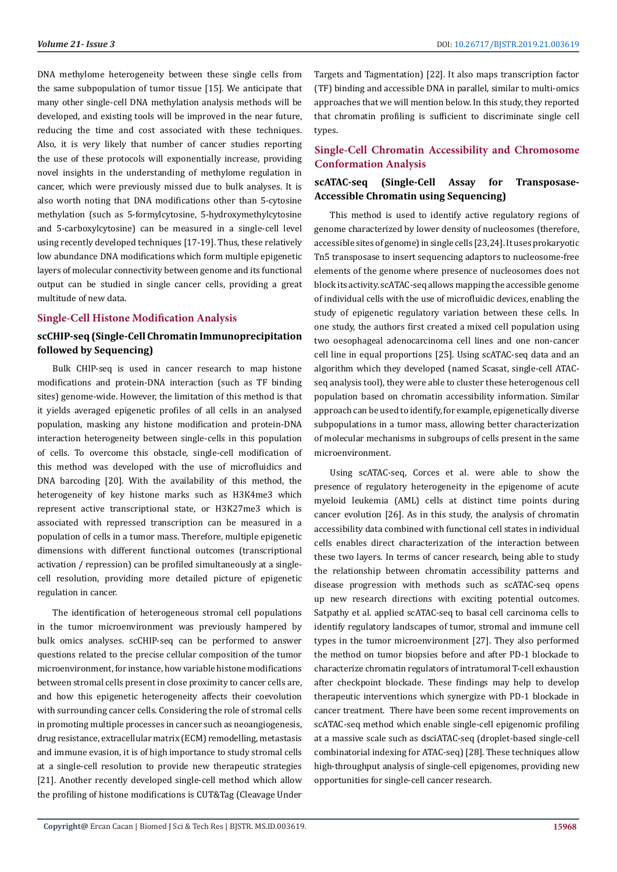DNA methylome heterogeneity between these single cells from the same subpopulation of tumor tissue [15]. We anticipate that many other single-cell DNA methylation analysis methods will be developed, and existing tools will be improved in the near future, reducing the time and cost associated with these techniques. Also, it is very likely that number of cancer studies reporting the use of these protocols will exponentially increase, providing novel insights in the understanding of methylome regulation in cancer, which were previously missed due to bulk analyses. It is also worth noting that DNA modifications other than 5-cytosine methylation (such as 5-formylcytosine, 5-hydroxymethylcytosine and 5-carboxylcytosine) can be measured in a single-cell level using recently developed techniques [17-19]. Thus, these relatively low abundance DNA modifications which form multiple epigenetic layers of molecular connectivity between genome and its functional output can be studied in single cancer cells, providing a great multitude of new data.

#### **Single-Cell Histone Modification Analysis**

# **scCHIP-seq (Single-Cell Chromatin Immunoprecipitation followed by Sequencing)**

Bulk CHIP-seq is used in cancer research to map histone modifications and protein-DNA interaction (such as TF binding sites) genome-wide. However, the limitation of this method is that it yields averaged epigenetic profiles of all cells in an analysed population, masking any histone modification and protein-DNA interaction heterogeneity between single-cells in this population of cells. To overcome this obstacle, single-cell modification of this method was developed with the use of microfluidics and DNA barcoding [20]. With the availability of this method, the heterogeneity of key histone marks such as H3K4me3 which represent active transcriptional state, or H3K27me3 which is associated with repressed transcription can be measured in a population of cells in a tumor mass. Therefore, multiple epigenetic dimensions with different functional outcomes (transcriptional activation / repression) can be profiled simultaneously at a singlecell resolution, providing more detailed picture of epigenetic regulation in cancer.

The identification of heterogeneous stromal cell populations in the tumor microenvironment was previously hampered by bulk omics analyses. scCHIP-seq can be performed to answer questions related to the precise cellular composition of the tumor microenvironment, for instance, how variable histone modifications between stromal cells present in close proximity to cancer cells are, and how this epigenetic heterogeneity affects their coevolution with surrounding cancer cells. Considering the role of stromal cells in promoting multiple processes in cancer such as neoangiogenesis, drug resistance, extracellular matrix (ECM) remodelling, metastasis and immune evasion, it is of high importance to study stromal cells at a single-cell resolution to provide new therapeutic strategies [21]. Another recently developed single-cell method which allow the profiling of histone modifications is CUT&Tag (Cleavage Under

Targets and Tagmentation) [22]. It also maps transcription factor (TF) binding and accessible DNA in parallel, similar to multi-omics approaches that we will mention below. In this study, they reported that chromatin profiling is sufficient to discriminate single cell types.

# **Single-Cell Chromatin Accessibility and Chromosome Conformation Analysis**

# **scATAC-seq (Single-Cell Assay for Transposase-Accessible Chromatin using Sequencing)**

This method is used to identify active regulatory regions of genome characterized by lower density of nucleosomes (therefore, accessible sites of genome) in single cells [23,24]. It uses prokaryotic Tn5 transposase to insert sequencing adaptors to nucleosome-free elements of the genome where presence of nucleosomes does not block its activity. scATAC-seq allows mapping the accessible genome of individual cells with the use of microfluidic devices, enabling the study of epigenetic regulatory variation between these cells. In one study, the authors first created a mixed cell population using two oesophageal adenocarcinoma cell lines and one non-cancer cell line in equal proportions [25]. Using scATAC-seq data and an algorithm which they developed (named Scasat, single-cell ATACseq analysis tool), they were able to cluster these heterogenous cell population based on chromatin accessibility information. Similar approach can be used to identify, for example, epigenetically diverse subpopulations in a tumor mass, allowing better characterization of molecular mechanisms in subgroups of cells present in the same microenvironment.

Using scATAC-seq, Corces et al. were able to show the presence of regulatory heterogeneity in the epigenome of acute myeloid leukemia (AML) cells at distinct time points during cancer evolution [26]. As in this study, the analysis of chromatin accessibility data combined with functional cell states in individual cells enables direct characterization of the interaction between these two layers. In terms of cancer research, being able to study the relationship between chromatin accessibility patterns and disease progression with methods such as scATAC-seq opens up new research directions with exciting potential outcomes. Satpathy et al. applied scATAC-seq to basal cell carcinoma cells to identify regulatory landscapes of tumor, stromal and immune cell types in the tumor microenvironment [27]. They also performed the method on tumor biopsies before and after PD-1 blockade to characterize chromatin regulators of intratumoral T-cell exhaustion after checkpoint blockade. These findings may help to develop therapeutic interventions which synergize with PD-1 blockade in cancer treatment. There have been some recent improvements on scATAC-seq method which enable single-cell epigenomic profiling at a massive scale such as dsciATAC-seq (droplet-based single-cell combinatorial indexing for ATAC-seq) [28]. These techniques allow high-throughput analysis of single-cell epigenomes, providing new opportunities for single-cell cancer research.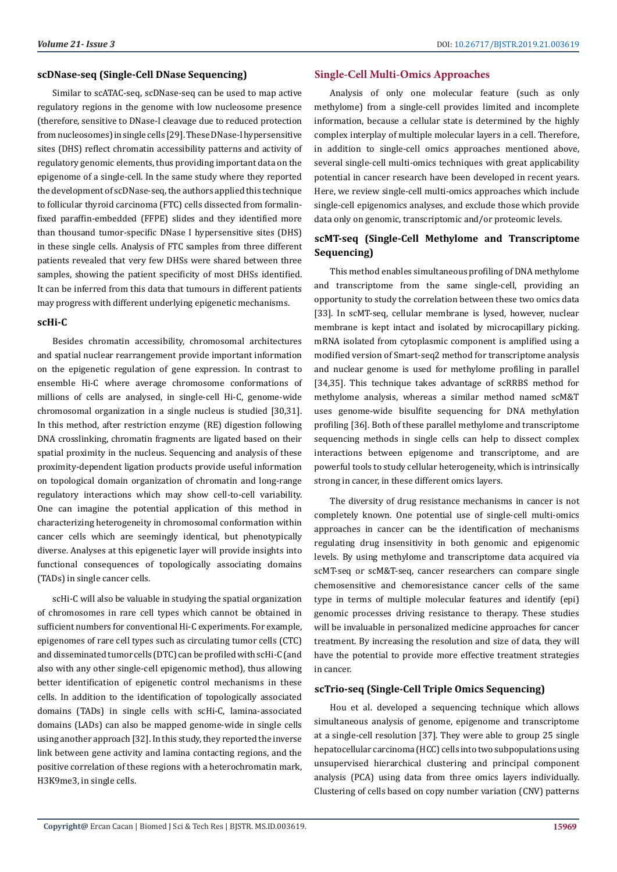#### **scDNase-seq (Single-Cell DNase Sequencing)**

Similar to scATAC-seq, scDNase-seq can be used to map active regulatory regions in the genome with low nucleosome presence (therefore, sensitive to DNase-I cleavage due to reduced protection from nucleosomes) in single cells [29]. These DNase-I hypersensitive sites (DHS) reflect chromatin accessibility patterns and activity of regulatory genomic elements, thus providing important data on the epigenome of a single-cell. In the same study where they reported the development of scDNase-seq, the authors applied this technique to follicular thyroid carcinoma (FTC) cells dissected from formalinfixed paraffin-embedded (FFPE) slides and they identified more than thousand tumor-specific DNase I hypersensitive sites (DHS) in these single cells. Analysis of FTC samples from three different patients revealed that very few DHSs were shared between three samples, showing the patient specificity of most DHSs identified. It can be inferred from this data that tumours in different patients may progress with different underlying epigenetic mechanisms.

#### **scHi-C**

Besides chromatin accessibility, chromosomal architectures and spatial nuclear rearrangement provide important information on the epigenetic regulation of gene expression. In contrast to ensemble Hi-C where average chromosome conformations of millions of cells are analysed, in single-cell Hi-C, genome-wide chromosomal organization in a single nucleus is studied [30,31]. In this method, after restriction enzyme (RE) digestion following DNA crosslinking, chromatin fragments are ligated based on their spatial proximity in the nucleus. Sequencing and analysis of these proximity-dependent ligation products provide useful information on topological domain organization of chromatin and long-range regulatory interactions which may show cell-to-cell variability. One can imagine the potential application of this method in characterizing heterogeneity in chromosomal conformation within cancer cells which are seemingly identical, but phenotypically diverse. Analyses at this epigenetic layer will provide insights into functional consequences of topologically associating domains (TADs) in single cancer cells.

scHi-C will also be valuable in studying the spatial organization of chromosomes in rare cell types which cannot be obtained in sufficient numbers for conventional Hi-C experiments. For example, epigenomes of rare cell types such as circulating tumor cells (CTC) and disseminated tumor cells (DTC) can be profiled with scHi-C (and also with any other single-cell epigenomic method), thus allowing better identification of epigenetic control mechanisms in these cells. In addition to the identification of topologically associated domains (TADs) in single cells with scHi-C, lamina-associated domains (LADs) can also be mapped genome-wide in single cells using another approach [32]. In this study, they reported the inverse link between gene activity and lamina contacting regions, and the positive correlation of these regions with a heterochromatin mark, H3K9me3, in single cells.

# **Single-Cell Multi-Omics Approaches**

Analysis of only one molecular feature (such as only methylome) from a single-cell provides limited and incomplete information, because a cellular state is determined by the highly complex interplay of multiple molecular layers in a cell. Therefore, in addition to single-cell omics approaches mentioned above, several single-cell multi-omics techniques with great applicability potential in cancer research have been developed in recent years. Here, we review single-cell multi-omics approaches which include single-cell epigenomics analyses, and exclude those which provide data only on genomic, transcriptomic and/or proteomic levels.

# **scMT-seq (Single-Cell Methylome and Transcriptome Sequencing)**

This method enables simultaneous profiling of DNA methylome and transcriptome from the same single-cell, providing an opportunity to study the correlation between these two omics data [33]. In scMT-seq, cellular membrane is lysed, however, nuclear membrane is kept intact and isolated by microcapillary picking. mRNA isolated from cytoplasmic component is amplified using a modified version of Smart-seq2 method for transcriptome analysis and nuclear genome is used for methylome profiling in parallel [34,35]. This technique takes advantage of scRRBS method for methylome analysis, whereas a similar method named scM&T uses genome-wide bisulfite sequencing for DNA methylation profiling [36]. Both of these parallel methylome and transcriptome sequencing methods in single cells can help to dissect complex interactions between epigenome and transcriptome, and are powerful tools to study cellular heterogeneity, which is intrinsically strong in cancer, in these different omics layers.

The diversity of drug resistance mechanisms in cancer is not completely known. One potential use of single-cell multi-omics approaches in cancer can be the identification of mechanisms regulating drug insensitivity in both genomic and epigenomic levels. By using methylome and transcriptome data acquired via scMT-seq or scM&T-seq, cancer researchers can compare single chemosensitive and chemoresistance cancer cells of the same type in terms of multiple molecular features and identify (epi) genomic processes driving resistance to therapy. These studies will be invaluable in personalized medicine approaches for cancer treatment. By increasing the resolution and size of data, they will have the potential to provide more effective treatment strategies in cancer.

# **scTrio-seq (Single-Cell Triple Omics Sequencing)**

Hou et al. developed a sequencing technique which allows simultaneous analysis of genome, epigenome and transcriptome at a single-cell resolution [37]. They were able to group 25 single hepatocellular carcinoma (HCC) cells into two subpopulations using unsupervised hierarchical clustering and principal component analysis (PCA) using data from three omics layers individually. Clustering of cells based on copy number variation (CNV) patterns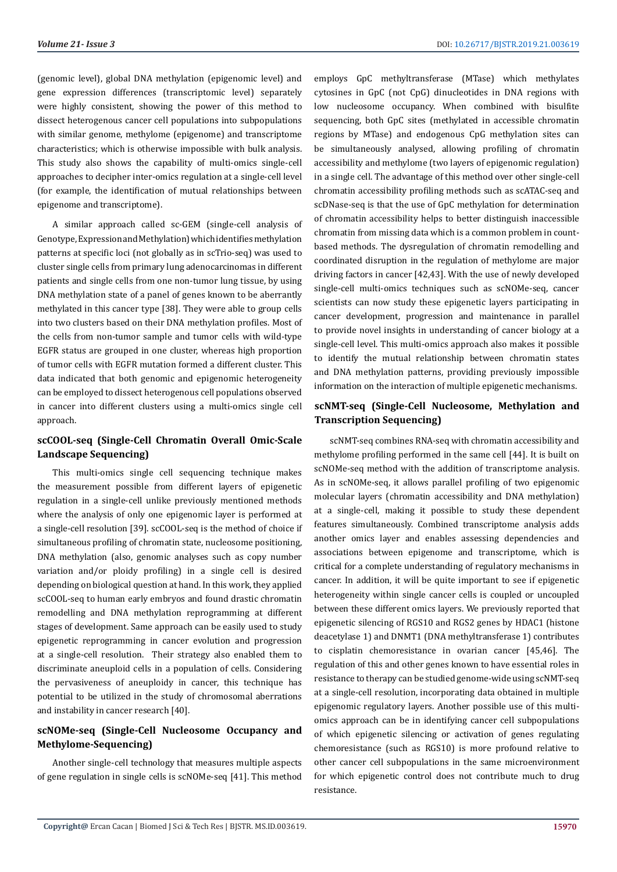(genomic level), global DNA methylation (epigenomic level) and gene expression differences (transcriptomic level) separately were highly consistent, showing the power of this method to dissect heterogenous cancer cell populations into subpopulations with similar genome, methylome (epigenome) and transcriptome characteristics; which is otherwise impossible with bulk analysis. This study also shows the capability of multi-omics single-cell approaches to decipher inter-omics regulation at a single-cell level (for example, the identification of mutual relationships between epigenome and transcriptome).

A similar approach called sc-GEM (single-cell analysis of Genotype, Expression and Methylation) which identifies methylation patterns at specific loci (not globally as in scTrio-seq) was used to cluster single cells from primary lung adenocarcinomas in different patients and single cells from one non-tumor lung tissue, by using DNA methylation state of a panel of genes known to be aberrantly methylated in this cancer type [38]. They were able to group cells into two clusters based on their DNA methylation profiles. Most of the cells from non-tumor sample and tumor cells with wild-type EGFR status are grouped in one cluster, whereas high proportion of tumor cells with EGFR mutation formed a different cluster. This data indicated that both genomic and epigenomic heterogeneity can be employed to dissect heterogenous cell populations observed in cancer into different clusters using a multi-omics single cell approach.

# **scCOOL-seq (Single-Cell Chromatin Overall Omic-Scale Landscape Sequencing)**

This multi-omics single cell sequencing technique makes the measurement possible from different layers of epigenetic regulation in a single-cell unlike previously mentioned methods where the analysis of only one epigenomic layer is performed at a single-cell resolution [39]. scCOOL-seq is the method of choice if simultaneous profiling of chromatin state, nucleosome positioning, DNA methylation (also, genomic analyses such as copy number variation and/or ploidy profiling) in a single cell is desired depending on biological question at hand. In this work, they applied scCOOL-seq to human early embryos and found drastic chromatin remodelling and DNA methylation reprogramming at different stages of development. Same approach can be easily used to study epigenetic reprogramming in cancer evolution and progression at a single-cell resolution. Their strategy also enabled them to discriminate aneuploid cells in a population of cells. Considering the pervasiveness of aneuploidy in cancer, this technique has potential to be utilized in the study of chromosomal aberrations and instability in cancer research [40].

# **scNOMe-seq (Single-Cell Nucleosome Occupancy and Methylome-Sequencing)**

Another single-cell technology that measures multiple aspects of gene regulation in single cells is scNOMe-seq [41]. This method employs GpC methyltransferase (MTase) which methylates cytosines in GpC (not CpG) dinucleotides in DNA regions with low nucleosome occupancy. When combined with bisulfite sequencing, both GpC sites (methylated in accessible chromatin regions by MTase) and endogenous CpG methylation sites can be simultaneously analysed, allowing profiling of chromatin accessibility and methylome (two layers of epigenomic regulation) in a single cell. The advantage of this method over other single-cell chromatin accessibility profiling methods such as scATAC-seq and scDNase-seq is that the use of GpC methylation for determination of chromatin accessibility helps to better distinguish inaccessible chromatin from missing data which is a common problem in countbased methods. The dysregulation of chromatin remodelling and coordinated disruption in the regulation of methylome are major driving factors in cancer [42,43]. With the use of newly developed single-cell multi-omics techniques such as scNOMe-seq, cancer scientists can now study these epigenetic layers participating in cancer development, progression and maintenance in parallel to provide novel insights in understanding of cancer biology at a single-cell level. This multi-omics approach also makes it possible to identify the mutual relationship between chromatin states and DNA methylation patterns, providing previously impossible information on the interaction of multiple epigenetic mechanisms.

# **scNMT-seq (Single-Cell Nucleosome, Methylation and Transcription Sequencing)**

scNMT-seq combines RNA-seq with chromatin accessibility and methylome profiling performed in the same cell [44]. It is built on scNOMe-seq method with the addition of transcriptome analysis. As in scNOMe-seq, it allows parallel profiling of two epigenomic molecular layers (chromatin accessibility and DNA methylation) at a single-cell, making it possible to study these dependent features simultaneously. Combined transcriptome analysis adds another omics layer and enables assessing dependencies and associations between epigenome and transcriptome, which is critical for a complete understanding of regulatory mechanisms in cancer. In addition, it will be quite important to see if epigenetic heterogeneity within single cancer cells is coupled or uncoupled between these different omics layers. We previously reported that epigenetic silencing of RGS10 and RGS2 genes by HDAC1 (histone deacetylase 1) and DNMT1 (DNA methyltransferase 1) contributes to cisplatin chemoresistance in ovarian cancer [45,46]. The regulation of this and other genes known to have essential roles in resistance to therapy can be studied genome-wide using scNMT-seq at a single-cell resolution, incorporating data obtained in multiple epigenomic regulatory layers. Another possible use of this multiomics approach can be in identifying cancer cell subpopulations of which epigenetic silencing or activation of genes regulating chemoresistance (such as RGS10) is more profound relative to other cancer cell subpopulations in the same microenvironment for which epigenetic control does not contribute much to drug resistance.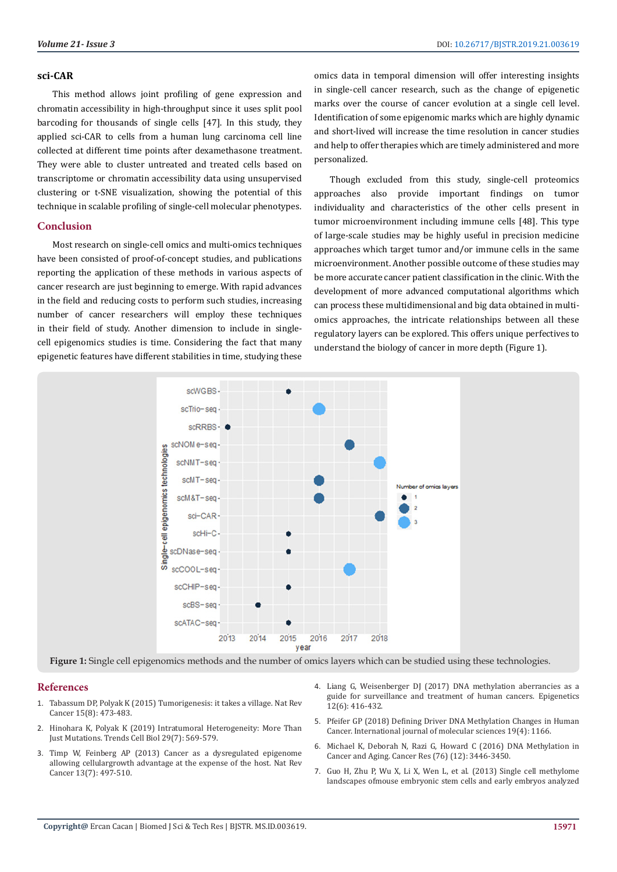#### **sci-CAR**

This method allows joint profiling of gene expression and chromatin accessibility in high-throughput since it uses split pool barcoding for thousands of single cells [47]. In this study, they applied sci-CAR to cells from a human lung carcinoma cell line collected at different time points after dexamethasone treatment. They were able to cluster untreated and treated cells based on transcriptome or chromatin accessibility data using unsupervised clustering or t-SNE visualization, showing the potential of this technique in scalable profiling of single-cell molecular phenotypes.

#### **Conclusion**

Most research on single-cell omics and multi-omics techniques have been consisted of proof-of-concept studies, and publications reporting the application of these methods in various aspects of cancer research are just beginning to emerge. With rapid advances in the field and reducing costs to perform such studies, increasing number of cancer researchers will employ these techniques in their field of study. Another dimension to include in singlecell epigenomics studies is time. Considering the fact that many epigenetic features have different stabilities in time, studying these

omics data in temporal dimension will offer interesting insights in single-cell cancer research, such as the change of epigenetic marks over the course of cancer evolution at a single cell level. Identification of some epigenomic marks which are highly dynamic and short-lived will increase the time resolution in cancer studies and help to offer therapies which are timely administered and more personalized.

Though excluded from this study, single-cell proteomics approaches also provide important findings on tumor individuality and characteristics of the other cells present in tumor microenvironment including immune cells [48]. This type of large-scale studies may be highly useful in precision medicine approaches which target tumor and/or immune cells in the same microenvironment. Another possible outcome of these studies may be more accurate cancer patient classification in the clinic. With the development of more advanced computational algorithms which can process these multidimensional and big data obtained in multiomics approaches, the intricate relationships between all these regulatory layers can be explored. This offers unique perfectives to understand the biology of cancer in more depth (Figure 1).



**Figure 1:** Single cell epigenomics methods and the number of omics layers which can be studied using these technologies.

#### **References**

- 1. [Tabassum DP, Polyak K \(2015\) Tumorigenesis: it takes a village. Nat Rev](https://www.ncbi.nlm.nih.gov/pubmed/26156638)  [Cancer 15\(8\): 473-483.](https://www.ncbi.nlm.nih.gov/pubmed/26156638)
- 2. [Hinohara K, Polyak K \(2019\) Intratumoral Heterogeneity: More Than](https://europepmc.org/abstract/med/30987806)  [Just Mutations. Trends Cell Biol 29\(7\): 569-579.](https://europepmc.org/abstract/med/30987806)
- 3. [Timp W, Feinberg AP \(2013\) Cancer as a dysregulated epigenome](https://www.ncbi.nlm.nih.gov/pubmed/23760024)  [allowing cellulargrowth advantage at the expense of the host. Nat Rev](https://www.ncbi.nlm.nih.gov/pubmed/23760024)  [Cancer 13\(7\): 497-510.](https://www.ncbi.nlm.nih.gov/pubmed/23760024)
- 4. [Liang G, Weisenberger DJ \(2017\) DNA methylation aberrancies as a](https://www.tandfonline.com/doi/full/10.1080/15592294.2017.1311434) [guide for surveillance and treatment of human cancers. Epigenetics](https://www.tandfonline.com/doi/full/10.1080/15592294.2017.1311434) [12\(6\): 416-432.](https://www.tandfonline.com/doi/full/10.1080/15592294.2017.1311434)
- 5. [Pfeifer GP \(2018\) Defining Driver DNA Methylation Changes in Human](https://www.mdpi.com/1422-0067/19/4/1166) [Cancer. International journal of molecular sciences 19\(4\): 1166.](https://www.mdpi.com/1422-0067/19/4/1166)
- 6. [Michael K, Deborah N, Razi G, Howard C \(2016\) DNA Methylation in](https://www.ncbi.nlm.nih.gov/pubmed/27256564) [Cancer and Aging. Cancer Res \(76\) \(12\): 3446-3450.](https://www.ncbi.nlm.nih.gov/pubmed/27256564)
- 7. [Guo H, Zhu P, Wu X, Li X, Wen L, et al. \(2013\) Single cell methylome](https://www.ncbi.nlm.nih.gov/pubmed/24179143) [landscapes ofmouse embryonic stem cells and early embryos analyzed](https://www.ncbi.nlm.nih.gov/pubmed/24179143)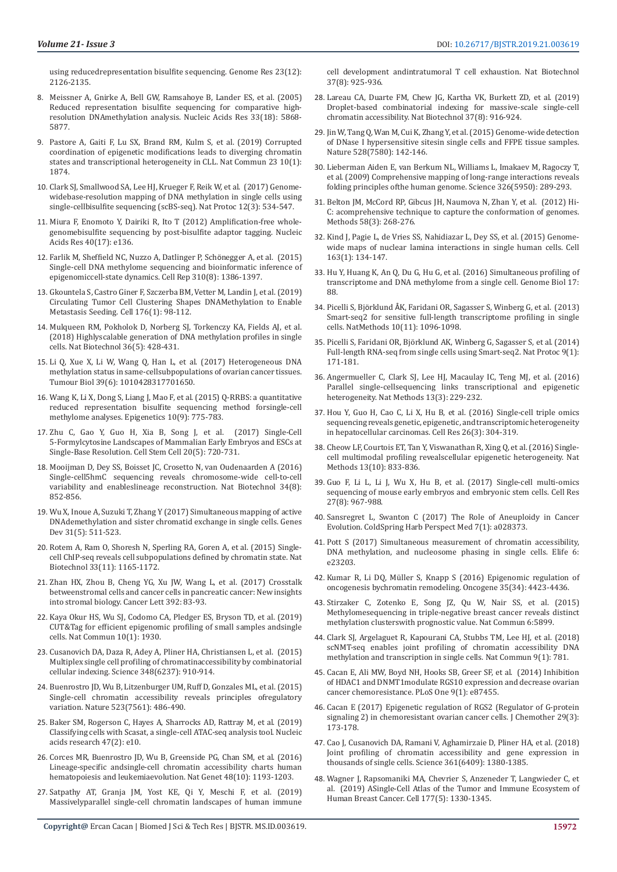[using reducedrepresentation bisulfite sequencing. Genome Res 23\(12\):](https://www.ncbi.nlm.nih.gov/pubmed/24179143)  [2126-2135.](https://www.ncbi.nlm.nih.gov/pubmed/24179143)

- 8. [Meissner A, Gnirke A, Bell GW, Ramsahoye B, Lander ES, et al. \(2005\)](https://www.ncbi.nlm.nih.gov/pubmed/16224102)  [Reduced representation bisulfite sequencing for comparative high](https://www.ncbi.nlm.nih.gov/pubmed/16224102)[resolution DNAmethylation analysis. Nucleic Acids Res 33\(18\): 5868-](https://www.ncbi.nlm.nih.gov/pubmed/16224102) [5877.](https://www.ncbi.nlm.nih.gov/pubmed/16224102)
- 9. [Pastore A, Gaiti F, Lu SX, Brand RM, Kulm S, et al. \(2019\) Corrupted](https://www.ncbi.nlm.nih.gov/pubmed/31015400)  [coordination of epigenetic modifications leads to diverging chromatin](https://www.ncbi.nlm.nih.gov/pubmed/31015400)  [states and transcriptional heterogeneity in CLL. Nat Commun 23 10\(1\):](https://www.ncbi.nlm.nih.gov/pubmed/31015400)  [1874.](https://www.ncbi.nlm.nih.gov/pubmed/31015400)
- 10. [Clark SJ, Smallwood SA, Lee HJ, Krueger F, Reik W, et al. \(2017\) Genome](https://www.ncbi.nlm.nih.gov/pubmed/28182018)[widebase-resolution mapping of DNA methylation in single cells using](https://www.ncbi.nlm.nih.gov/pubmed/28182018)  [single-cellbisulfite sequencing \(scBS-seq\). Nat Protoc 12\(3\): 534-547.](https://www.ncbi.nlm.nih.gov/pubmed/28182018)
- 11. [Miura F, Enomoto Y, Dairiki R, Ito T \(2012\) Amplification-free whole](https://www.ncbi.nlm.nih.gov/pubmed/22649061)[genomebisulfite sequencing by post-bisulfite adaptor tagging. Nucleic](https://www.ncbi.nlm.nih.gov/pubmed/22649061)  [Acids Res 40\(17\): e136.](https://www.ncbi.nlm.nih.gov/pubmed/22649061)
- 12. [Farlik M, Sheffield NC, Nuzzo A, Datlinger P, Sch](https://id.elsevier.com/as/sNHHk/resume/as/authorization.ping)önegger A, et al. (2015) [Single-cell DNA methylome sequencing and bioinformatic inference of](https://id.elsevier.com/as/sNHHk/resume/as/authorization.ping)  [epigenomiccell-state dynamics. Cell Rep 310\(8\): 1386-1397.](https://id.elsevier.com/as/sNHHk/resume/as/authorization.ping)
- 13. [Gkountela S, Castro Giner F, Szczerba BM, Vetter M, Landin J, et al. \(2019\)](https://www.ncbi.nlm.nih.gov/pubmed/30633912)  [Circulating Tumor Cell Clustering Shapes DNAMethylation to Enable](https://www.ncbi.nlm.nih.gov/pubmed/30633912)  [Metastasis Seeding. Cell 176\(1\): 98-112.](https://www.ncbi.nlm.nih.gov/pubmed/30633912)
- 14. [Mulqueen RM, Pokholok D, Norberg SJ, Torkenczy KA, Fields AJ, et al.](https://www.ncbi.nlm.nih.gov/pubmed/29644997)  [\(2018\) Highlyscalable generation of DNA methylation profiles in single](https://www.ncbi.nlm.nih.gov/pubmed/29644997)  [cells. Nat Biotechnol 36\(5\): 428-431.](https://www.ncbi.nlm.nih.gov/pubmed/29644997)
- 15. [Li Q, Xue X, Li W, Wang Q, Han L, et al. \(2017\) Heterogeneous DNA](https://www.ncbi.nlm.nih.gov/pubmed/28618935)  [methylation status in same-cellsubpopulations of ovarian cancer tissues.](https://www.ncbi.nlm.nih.gov/pubmed/28618935)  [Tumour Biol 39\(6\): 1010428317701650.](https://www.ncbi.nlm.nih.gov/pubmed/28618935)
- 16. [Wang K, Li X, Dong S, Liang J, Mao F, et al. \(2015\) Q-RRBS: a quantitative](https://www.tandfonline.com/doi/full/10.1080/15592294.2015.1075690)  [reduced representation bisulfite sequencing method forsingle-cell](https://www.tandfonline.com/doi/full/10.1080/15592294.2015.1075690)  [methylome analyses. Epigenetics 10\(9\): 775-783.](https://www.tandfonline.com/doi/full/10.1080/15592294.2015.1075690)
- 17. [Zhu C, Gao Y, Guo H, Xia B, Song J, et al. \(2017\) Single-Cell](https://www.ncbi.nlm.nih.gov/pubmed/28343982)  [5-Formylcytosine Landscapes of Mammalian Early Embryos and ESCs at](https://www.ncbi.nlm.nih.gov/pubmed/28343982)  [Single-Base Resolution. Cell Stem Cell 20\(5\): 720-731.](https://www.ncbi.nlm.nih.gov/pubmed/28343982)
- 18. [Mooijman D, Dey SS, Boisset JC, Crosetto N, van Oudenaarden A \(2016\)](https://www.nature.com/articles/nbt.3598)  [Single-cell5hmC sequencing reveals chromosome-wide cell-to-cell](https://www.nature.com/articles/nbt.3598)  [variability and enableslineage reconstruction. Nat Biotechnol 34\(8\):](https://www.nature.com/articles/nbt.3598)  [852-856.](https://www.nature.com/articles/nbt.3598)
- 19. [Wu X, Inoue A, Suzuki T, Zhang Y \(2017\) Simultaneous mapping of active](http://genesdev.cshlp.org/content/31/5/511)  [DNAdemethylation and sister chromatid exchange in single cells. Genes](http://genesdev.cshlp.org/content/31/5/511)  [Dev 31\(5\): 511-523.](http://genesdev.cshlp.org/content/31/5/511)
- 20. [Rotem A, Ram O, Shoresh N, Sperling RA, Goren A, et al. \(2015\) Single](https://www.ncbi.nlm.nih.gov/pubmed/26458175)[cell ChIP-seq reveals cell subpopulations defined by chromatin state. Nat](https://www.ncbi.nlm.nih.gov/pubmed/26458175)  [Biotechnol 33\(11\): 1165-1172.](https://www.ncbi.nlm.nih.gov/pubmed/26458175)
- 21. [Zhan HX, Zhou B, Cheng YG, Xu JW, Wang L, et al. \(2017\) Crosstalk](https://www.ncbi.nlm.nih.gov/pubmed/28189533)  [betweenstromal cells and cancer cells in pancreatic cancer: New insights](https://www.ncbi.nlm.nih.gov/pubmed/28189533)  [into stromal biology. Cancer Lett 392: 83-93.](https://www.ncbi.nlm.nih.gov/pubmed/28189533)
- 22. [Kaya Okur HS, Wu SJ, Codomo CA, Pledger ES, Bryson TD, et al. \(2019\)](https://www.nature.com/articles/s41467-019-09982-5)  [CUT&Tag for efficient epigenomic profiling of small samples andsingle](https://www.nature.com/articles/s41467-019-09982-5)  [cells. Nat Commun 10\(1\): 1930.](https://www.nature.com/articles/s41467-019-09982-5)
- 23. [Cusanovich DA, Daza R, Adey A, Pliner HA, Christiansen L, et al. \(2015\)](https://www.ncbi.nlm.nih.gov/pubmed/25953818)  [Multiplex single cell profiling of chromatinaccessibility by combinatorial](https://www.ncbi.nlm.nih.gov/pubmed/25953818)  [cellular indexing. Science 348\(6237\): 910-914.](https://www.ncbi.nlm.nih.gov/pubmed/25953818)
- 24. [Buenrostro JD, Wu B, Litzenburger UM, Ruff D, Gonzales ML, et al. \(2015\)](https://www.ncbi.nlm.nih.gov/pubmed/26083756)  [Single-cell chromatin accessibility reveals principles ofregulatory](https://www.ncbi.nlm.nih.gov/pubmed/26083756)  [variation. Nature 523\(7561\): 486-490.](https://www.ncbi.nlm.nih.gov/pubmed/26083756)
- 25. [Baker SM, Rogerson C, Hayes A, Sharrocks AD, Rattray M, et al. \(2019\)](https://academic.oup.com/nar/article/47/2/e10/5134327)  [Classifying cells with Scasat, a single-cell ATAC-seq analysis tool. Nucleic](https://academic.oup.com/nar/article/47/2/e10/5134327)  [acids research 47\(2\): e10.](https://academic.oup.com/nar/article/47/2/e10/5134327)
- 26. [Corces MR, Buenrostro JD, Wu B, Greenside PG, Chan SM, et al. \(2016\)](https://www.ncbi.nlm.nih.gov/pubmed/27526324)  [Lineage-specific andsingle-cell chromatin accessibility charts human](https://www.ncbi.nlm.nih.gov/pubmed/27526324)  [hematopoiesis and leukemiaevolution. Nat Genet 48\(10\): 1193-1203.](https://www.ncbi.nlm.nih.gov/pubmed/27526324)
- 27. [Satpathy AT, Granja JM, Yost KE, Qi Y, Meschi F, et al. \(2019\)](https://www.nature.com/articles/s41587-019-0206-z)  [Massivelyparallel single-cell chromatin landscapes of human immune](https://www.nature.com/articles/s41587-019-0206-z)

[cell development andintratumoral T cell exhaustion. Nat Biotechnol](https://www.nature.com/articles/s41587-019-0206-z) [37\(8\): 925-936.](https://www.nature.com/articles/s41587-019-0206-z)

- 28. [Lareau CA, Duarte FM, Chew JG, Kartha VK, Burkett ZD, et al. \(2019\)](https://www.nature.com/articles/s41587-019-0147-6) [Droplet-based combinatorial indexing for massive-scale single-cell](https://www.nature.com/articles/s41587-019-0147-6) [chromatin accessibility. Nat Biotechnol 37\(8\): 916-924.](https://www.nature.com/articles/s41587-019-0147-6)
- 29. [Jin W, Tang Q, Wan M, Cui K, Zhang Y, et al. \(2015\) Genome-wide detection](https://www.ncbi.nlm.nih.gov/pubmed/26605532) [of DNase I hypersensitive sitesin single cells and FFPE tissue samples.](https://www.ncbi.nlm.nih.gov/pubmed/26605532) [Nature 528\(7580\): 142-146.](https://www.ncbi.nlm.nih.gov/pubmed/26605532)
- 30. [Lieberman Aiden E, van Berkum NL, Williams L, Imakaev M, Ragoczy T,](https://www.ncbi.nlm.nih.gov/pubmed/19815776) [et al. \(2009\) Comprehensive mapping of long-range interactions reveals](https://www.ncbi.nlm.nih.gov/pubmed/19815776) [folding principles ofthe human genome. Science 326\(5950\): 289-293.](https://www.ncbi.nlm.nih.gov/pubmed/19815776)
- 31. [Belton JM, McCord RP, Gibcus JH, Naumova N, Zhan Y, et al. \(2012\) Hi-](https://www.ncbi.nlm.nih.gov/pubmed/22652625)[C: acomprehensive technique to capture the conformation of genomes.](https://www.ncbi.nlm.nih.gov/pubmed/22652625) [Methods 58\(3\): 268-276.](https://www.ncbi.nlm.nih.gov/pubmed/22652625)
- 32. [Kind J, Pagie L, de Vries SS, Nahidiazar L, Dey SS, et al. \(2015\) Genome](https://www.ncbi.nlm.nih.gov/pubmed/26365489)[wide maps of nuclear lamina interactions in single human cells. Cell](https://www.ncbi.nlm.nih.gov/pubmed/26365489) [163\(1\): 134-147.](https://www.ncbi.nlm.nih.gov/pubmed/26365489)
- 33. [Hu Y, Huang K, An Q, Du G, Hu G, et al. \(2016\) Simultaneous profiling of](https://genomebiology.biomedcentral.com/articles/10.1186/s13059-016-0950-z) [transcriptome and DNA methylome from a single cell. Genome Biol 17:](https://genomebiology.biomedcentral.com/articles/10.1186/s13059-016-0950-z) [88.](https://genomebiology.biomedcentral.com/articles/10.1186/s13059-016-0950-z)
- 34. Picelli S, Björklund Å[K, Faridani OR, Sagasser S, Winberg G, et al. \(2013\)](https://www.nature.com/articles/nmeth.2639) [Smart-seq2 for sensitive full-length transcriptome profiling in single](https://www.nature.com/articles/nmeth.2639) [cells. NatMethods 10\(11\): 1096-1098.](https://www.nature.com/articles/nmeth.2639)
- 35. [Picelli S, Faridani OR, Björklund AK, Winberg G, Sagasser S, et al. \(2014\)](https://www.nature.com/articles/nprot.2014.006) [Full-length RNA-seq from single cells using Smart-seq2. Nat Protoc 9\(1\):](https://www.nature.com/articles/nprot.2014.006) [171-181.](https://www.nature.com/articles/nprot.2014.006)
- 36. [Angermueller C, Clark SJ, Lee HJ, Macaulay IC, Teng MJ, et al. \(2016\)](https://www.nature.com/articles/nmeth.3728) [Parallel single-cellsequencing links transcriptional and epigenetic](https://www.nature.com/articles/nmeth.3728) [heterogeneity. Nat Methods 13\(3\): 229-232.](https://www.nature.com/articles/nmeth.3728)
- 37. [Hou Y, Guo H, Cao C, Li X, Hu B, et al. \(2016\) Single-cell triple omics](https://www.ncbi.nlm.nih.gov/pubmed/26902283) [sequencing reveals genetic, epigenetic, and transcriptomic heterogeneity](https://www.ncbi.nlm.nih.gov/pubmed/26902283) [in hepatocellular carcinomas. Cell Res 26\(3\): 304-319.](https://www.ncbi.nlm.nih.gov/pubmed/26902283)
- 38. [Cheow LF, Courtois ET, Tan Y, Viswanathan R, Xing Q, et al. \(2016\) Single](https://www.ncbi.nlm.nih.gov/pubmed/27525975)[cell multimodal profiling revealscellular epigenetic heterogeneity. Nat](https://www.ncbi.nlm.nih.gov/pubmed/27525975) [Methods 13\(10\): 833-836.](https://www.ncbi.nlm.nih.gov/pubmed/27525975)
- 39. [Guo F, Li L, Li J, Wu X, Hu B, et al. \(2017\) Single-cell multi-omics](https://www.ncbi.nlm.nih.gov/pubmed/28621329) [sequencing of mouse early embryos and embryonic stem cells. Cell Res](https://www.ncbi.nlm.nih.gov/pubmed/28621329) [27\(8\): 967-988.](https://www.ncbi.nlm.nih.gov/pubmed/28621329)
- 40. [Sansregret L, Swanton C \(2017\) The Role of Aneuploidy in Cancer](https://www.ncbi.nlm.nih.gov/pubmed/28049655) [Evolution. ColdSpring Harb Perspect Med 7\(1\): a028373.](https://www.ncbi.nlm.nih.gov/pubmed/28049655)
- 41. [Pott S \(2017\) Simultaneous measurement of chromatin accessibility,](https://elifesciences.org/articles/23203) [DNA methylation, and nucleosome phasing in single cells. Elife 6:](https://elifesciences.org/articles/23203) [e23203.](https://elifesciences.org/articles/23203)
- 42. [Kumar R, Li DQ, Müller S, Knapp S \(2016\) Epigenomic regulation of](https://www.ncbi.nlm.nih.gov/pubmed/26804164) [oncogenesis bychromatin remodeling. Oncogene 35\(34\): 4423-4436.](https://www.ncbi.nlm.nih.gov/pubmed/26804164)
- 43. [Stirzaker C, Zotenko E, Song JZ, Qu W, Nair SS, et al. \(2015\)](https://www.ncbi.nlm.nih.gov/pubmed/25641231) [Methylomesequencing in triple-negative breast cancer reveals distinct](https://www.ncbi.nlm.nih.gov/pubmed/25641231) [methylation clusterswith prognostic value. Nat Commun 6:5899.](https://www.ncbi.nlm.nih.gov/pubmed/25641231)
- 44. [Clark SJ, Argelaguet R, Kapourani CA, Stubbs TM, Lee HJ, et al. \(2018\)](https://www.nature.com/articles/s41467-018-03149-4) [scNMT-seq enables joint profiling of chromatin accessibility DNA](https://www.nature.com/articles/s41467-018-03149-4) [methylation and transcription in single cells. Nat Commun 9\(1\): 781](https://www.nature.com/articles/s41467-018-03149-4).
- 45. [Cacan E, Ali MW, Boyd NH, Hooks SB, Greer SF, et al. \(2014\) Inhibition](https://journals.plos.org/plosone/article?id=10.1371/journal.pone.0087455) [of HDAC1 and DNMT1modulate RGS10 expression and decrease ovarian](https://journals.plos.org/plosone/article?id=10.1371/journal.pone.0087455) [cancer chemoresistance. PLoS One 9\(1\): e87455.](https://journals.plos.org/plosone/article?id=10.1371/journal.pone.0087455)
- 46. [Cacan E \(2017\) Epigenetic regulation of RGS2 \(Regulator of G-protein](https://www.tandfonline.com/doi/abs/10.1080/1120009X.2016.1277007?tab=permissions&scroll=top) [signaling 2\) in chemoresistant ovarian cancer cells. J Chemother 29\(3\):](https://www.tandfonline.com/doi/abs/10.1080/1120009X.2016.1277007?tab=permissions&scroll=top) [173-178.](https://www.tandfonline.com/doi/abs/10.1080/1120009X.2016.1277007?tab=permissions&scroll=top)
- 47. [Cao J, Cusanovich DA, Ramani V, Aghamirzaie D, Pliner HA, et al. \(2018\)](https://science.sciencemag.org/content/361/6409/1380/tab-article-info) [Joint profiling of chromatin accessibility and gene expression in](https://science.sciencemag.org/content/361/6409/1380/tab-article-info) [thousands of single cells. Science 361\(6409\): 1380-1385.](https://science.sciencemag.org/content/361/6409/1380/tab-article-info)
- 48. [Wagner J, Rapsomaniki MA, Chevrier S, Anzeneder T, Langwieder C, et](https://www.ncbi.nlm.nih.gov/pubmed/30982598) [al. \(2019\) ASingle-Cell Atlas of the Tumor and Immune Ecosystem of](https://www.ncbi.nlm.nih.gov/pubmed/30982598) [Human Breast Cancer. Cell 177\(5\): 1330-1345.](https://www.ncbi.nlm.nih.gov/pubmed/30982598)